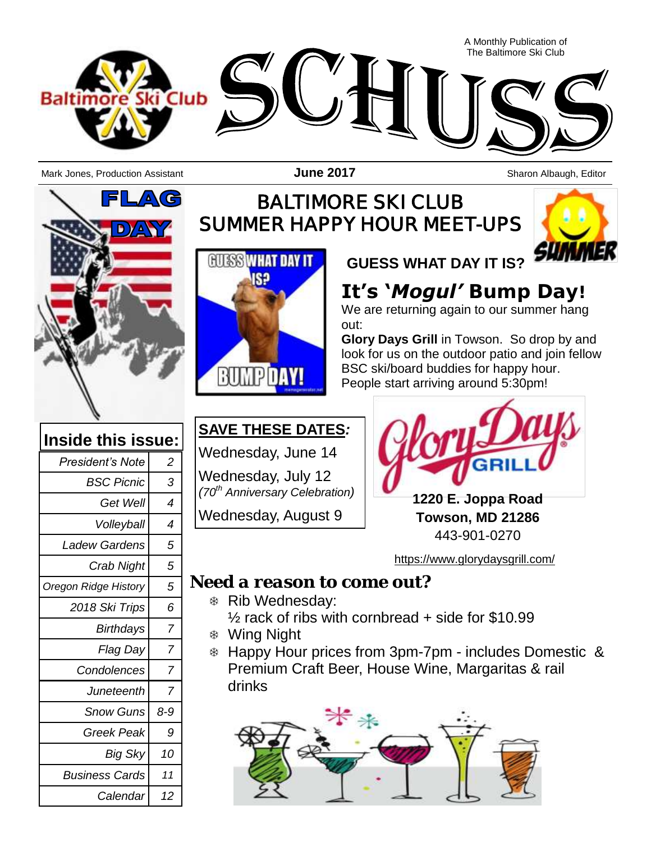A Monthly Publication of The Baltimore Ski Club



Mark Jones, Production Assistant The Control of the Countries of the Sharon Albaugh, Editor Sharon Albaugh, Editor

**June 2017**



### **BALTIMORE SKI CLUB SUMMER HAPPY HOUR MEET-UPS**



### **GUESS WHAT DAY IT IS?**

**It's '***Mogul'* **Bump Day!**

We are returning again to our summer hang out:

**Glory Days Grill** in Towson. So drop by and look for us on the outdoor patio and join fellow BSC ski/board buddies for happy hour. People start arriving around 5:30pm!



**1220 E. Joppa Road Towson, MD 21286** 443-901-0270

<https://www.glorydaysgrill.com/>

*Need a reason to come out?*

Rib Wednesday:

 $\frac{1}{2}$  rack of ribs with cornbread + side for \$10.99

- Wing Night
- Happy Hour prices from 3pm-7pm includes Domestic & Premium Craft Beer, House Wine, Margaritas & rail drinks



| Inside this issue:    |                |
|-----------------------|----------------|
| President's Note      | 2              |
| <b>BSC Picnic</b>     | 3              |
| Get Well              | $\overline{4}$ |
| Volleyball            | 4              |
| Ladew Gardens         | 5              |
| Crab Night            | 5              |
| Oregon Ridge History  | 5              |
| 2018 Ski Trips        | 6              |
| <b>Birthdays</b>      | $\overline{7}$ |
| Flag Day              | $\overline{7}$ |
| Condolences           | $\overline{7}$ |
| Juneteenth            | $\overline{7}$ |
| <b>Snow Guns</b>      | 8-9            |
| <b>Greek Peak</b>     | 9              |
| Big Sky               | 10             |
| <b>Business Cards</b> | 11             |
| Calendar              | 12             |

### **SAVE THESE DATES***:*

Wednesday, June 14

Wednesday, July 12 *(70th Anniversary Celebration)*

Wednesday, August 9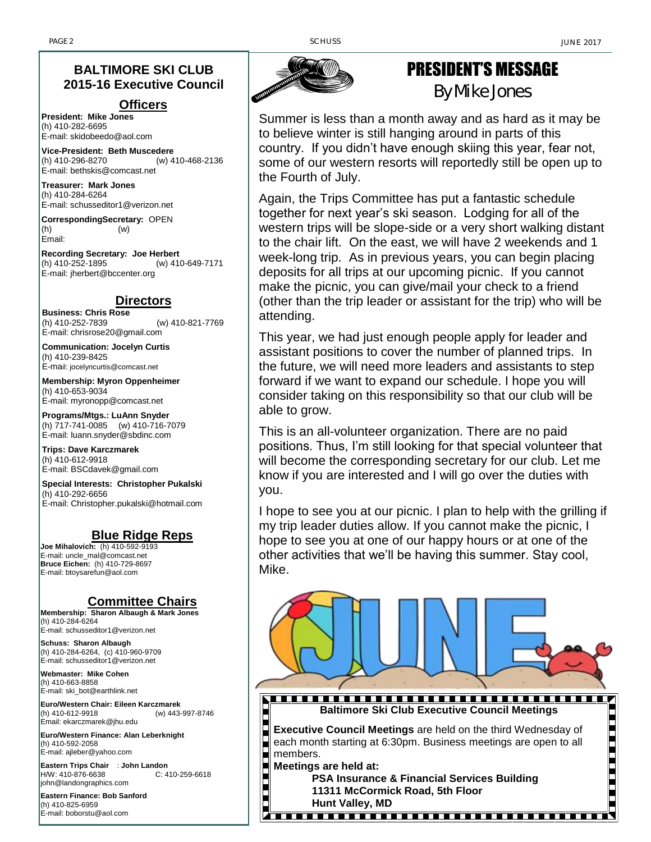#### **BALTIMORE SKI CLUB 2015-16 Executive Council**

#### **Officers**

**President: Mike Jones** (h) 410-282-6695 E-mail: skidobeedo@aol.com

**Vice-President: Beth Muscedere** (w) 410-468-2136 E-mail: bethskis@comcast.net

**Treasurer: Mark Jones** (h) 410-284-6264 E-mail: schusseditor1@verizon.net

**CorrespondingSecretary:** OPEN (h) (w) Email:

**Recording Secretary: Joe Herbert** (h) 410-252-1895 (w) 410-649-7171 E-mail: jherbert@bccenter.org

#### **Directors**

**Business: Chris Rose** (h) 410-252-7839 (w) 410-821-7769 E-mail: chrisrose20@gmail.com

**Communication: Jocelyn Curtis** (h) 410-239-8425 E-mail: [jocelyncurtis@comcast.net](mailto:jocelyncurtis@comcast.net)

**Membership: Myron Oppenheimer** (h) 410-653-9034 E-mail: myronopp@comcast.net

**Programs/Mtgs.: LuAnn Snyder** (h) 717-741-0085 (w) 410-716-7079 E-mail: luann.snyder@sbdinc.com

**Trips: Dave Karczmarek** (h) 410-612-9918 E-mail: BSCdavek@gmail.com

**Special Interests: Christopher Pukalski** (h) 410-292-6656 E-mail: Christopher.pukalski@hotmail.com

#### **Blue Ridge Reps**

**Joe Mihalovich:** (h) 410-592-9193 E-mail: uncle\_mal@comcast.net **Bruce Eichen:** (h) 410-729-8697 E-mail: btoysarefun@aol.com

#### **Committee Chairs**

**Membership: Sharon Albaugh & Mark Jones** (h) 410-284-6264 E-mail: schusseditor1@verizon.net

**Schuss: Sharon Albaugh** (h) 410-284-6264, (c) 410-960-9709 E-mail: schusseditor1@verizon.net

**Webmaster: Mike Cohen** (h) 410-663-8858 E-mail: ski\_bot@earthlink.net

**Euro/Western Chair: Eileen Karczmarek** (w) 443-997-8746 Email: ekarczmarek@jhu.edu

**Euro/Western Finance: Alan Leberknight** (h) 410-592-2058 E-mail: ajleber@yahoo.com

**Eastern Trips Chair** : **John Landon** H/W: 410-876-6638 john@landongraphics.com

**Eastern Finance: Bob Sanford** (h) 410-825-6959 E-mail: boborstu@aol.com



### PRESIDENT'S MESSAGE

By Mike Jones

Summer is less than a month away and as hard as it may be to believe winter is still hanging around in parts of this country. If you didn't have enough skiing this year, fear not, some of our western resorts will reportedly still be open up to the Fourth of July.

Again, the Trips Committee has put a fantastic schedule together for next year's ski season. Lodging for all of the western trips will be slope-side or a very short walking distant to the chair lift. On the east, we will have 2 weekends and 1 week-long trip. As in previous years, you can begin placing deposits for all trips at our upcoming picnic. If you cannot make the picnic, you can give/mail your check to a friend (other than the trip leader or assistant for the trip) who will be attending.

This year, we had just enough people apply for leader and assistant positions to cover the number of planned trips. In the future, we will need more leaders and assistants to step forward if we want to expand our schedule. I hope you will consider taking on this responsibility so that our club will be able to grow.

This is an all-volunteer organization. There are no paid positions. Thus, I'm still looking for that special volunteer that will become the corresponding secretary for our club. Let me know if you are interested and I will go over the duties with you.

I hope to see you at our picnic. I plan to help with the grilling if my trip leader duties allow. If you cannot make the picnic, I hope to see you at one of our happy hours or at one of the other activities that we'll be having this summer. Stay cool, Mike.

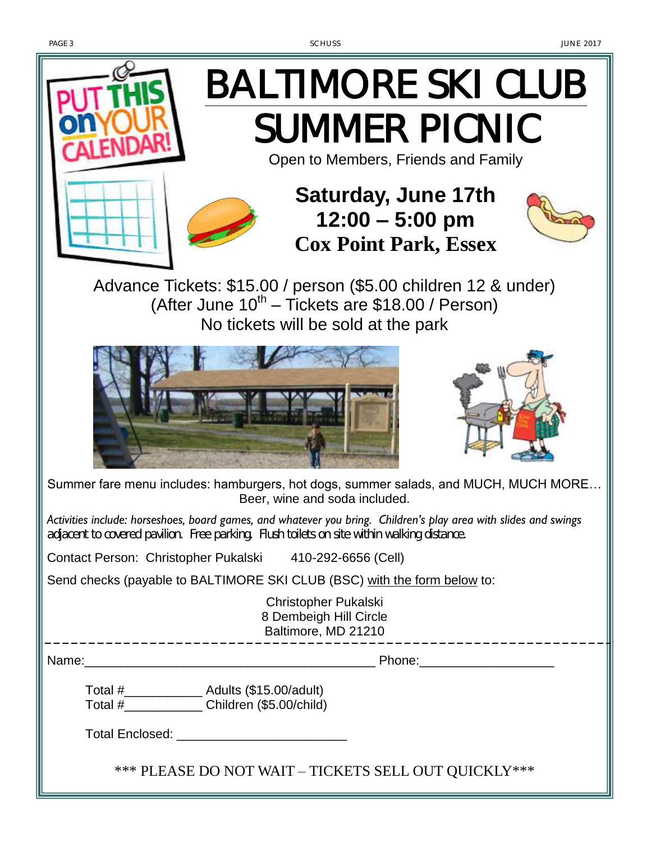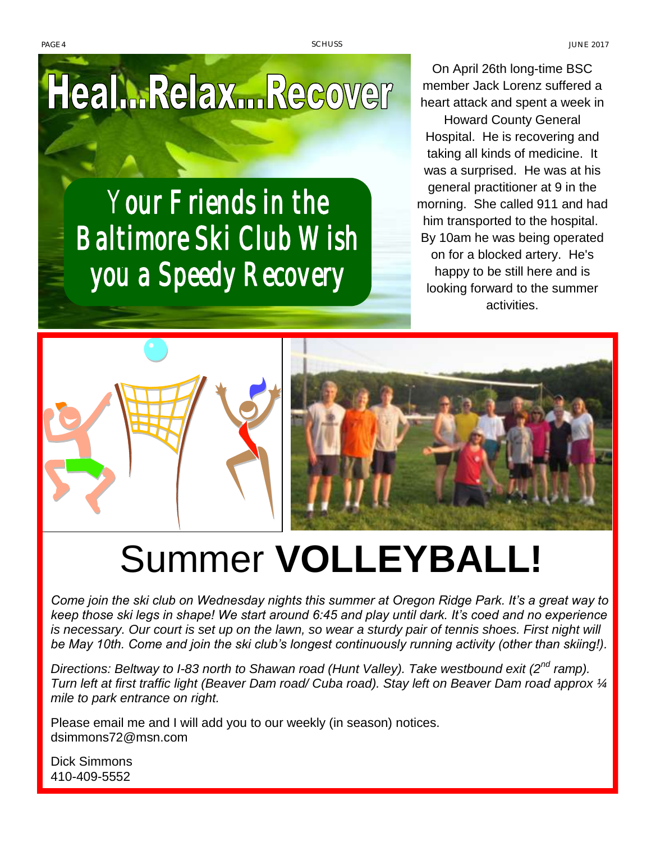

*Your Friends in the Baltimore Ski Club Wish you a Speedy Recovery* 

On April 26th long-time BSC member Jack Lorenz suffered a heart attack and spent a week in

Howard County General Hospital. He is recovering and taking all kinds of medicine. It was a surprised. He was at his general practitioner at 9 in the morning. She called 911 and had him transported to the hospital. By 10am he was being operated on for a blocked artery. He's happy to be still here and is looking forward to the summer activities.





# Summer **VOLLEYBALL!**

*Come join the ski club on Wednesday nights this summer at Oregon Ridge Park. It's a great way to keep those ski legs in shape! We start around 6:45 and play until dark. It's coed and no experience is necessary. Our court is set up on the lawn, so wear a sturdy pair of tennis shoes. First night will be May 10th. Come and join the ski club's longest continuously running activity (other than skiing!).*

*Directions: Beltway to I-83 north to Shawan road (Hunt Valley). Take westbound exit (2nd ramp). Turn left at first traffic light (Beaver Dam road/ Cuba road). Stay left on Beaver Dam road approx ¼ mile to park entrance on right.*

Please email me and I will add you to our weekly (in season) notices. dsimmons72@msn.com

Dick Simmons 410-409-5552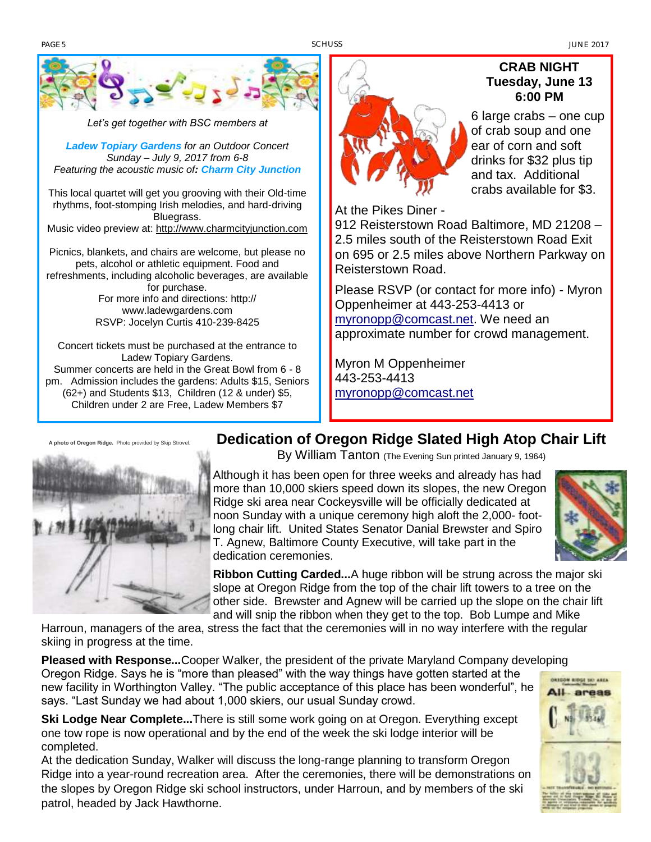

*Let's get together with BSC members at*

*Ladew Topiary Gardens for an Outdoor Concert Sunday – July 9, 2017 from 6-8 Featuring the acoustic music of: Charm City Junction*

This local quartet will get you grooving with their Old-time rhythms, foot-stomping Irish melodies, and hard-driving Bluegrass. Music video preview at: <http://www.charmcityjunction.com>

Picnics, blankets, and chairs are welcome, but please no pets, alcohol or athletic equipment. Food and refreshments, including alcoholic beverages, are available for purchase. For more info and directions: http:// www.ladewgardens.com RSVP: Jocelyn Curtis 410-239-8425

Concert tickets must be purchased at the entrance to Ladew Topiary Gardens. Summer concerts are held in the Great Bowl from 6 - 8 pm. Admission includes the gardens: Adults \$15, Seniors (62+) and Students \$13, Children (12 & under) \$5, Children under 2 are Free, Ladew Members \$7



**6:00 PM** 6 large crabs – one cup of crab soup and one ear of corn and soft drinks for \$32 plus tip and tax. Additional

**CRAB NIGHT Tuesday, June 13**

At the Pikes Diner -

912 Reisterstown Road Baltimore, MD 21208 – 2.5 miles south of the Reisterstown Road Exit on 695 or 2.5 miles above Northern Parkway on Reisterstown Road.

Please RSVP (or contact for more info) - Myron Oppenheimer at 443-253-4413 or [myronopp@comcast.net.](mailto:myronopp@comcast.net) We need an approximate number for crowd management.

Myron M Oppenheimer 443-253-4413 [myronopp@comcast.net](mailto:myronopp@comcast.net)



### **Dedication of Oregon Ridge Slated High Atop Chair Lift**

By William Tanton (The Evening Sun printed January 9, 1964)

Although it has been open for three weeks and already has had more than 10,000 skiers speed down its slopes, the new Oregon Ridge ski area near Cockeysville will be officially dedicated at noon Sunday with a unique ceremony high aloft the 2,000- footlong chair lift. United States Senator Danial Brewster and Spiro T. Agnew, Baltimore County Executive, will take part in the dedication ceremonies.



**Ribbon Cutting Carded...**A huge ribbon will be strung across the major ski slope at Oregon Ridge from the top of the chair lift towers to a tree on the other side. Brewster and Agnew will be carried up the slope on the chair lift and will snip the ribbon when they get to the top. Bob Lumpe and Mike

Harroun, managers of the area, stress the fact that the ceremonies will in no way interfere with the regular skiing in progress at the time.

**Pleased with Response...**Cooper Walker, the president of the private Maryland Company developing Oregon Ridge. Says he is "more than pleased" with the way things have gotten started at the

new facility in Worthington Valley. "The public acceptance of this place has been wonderful", he says. "Last Sunday we had about 1,000 skiers, our usual Sunday crowd.

**Ski Lodge Near Complete...**There is still some work going on at Oregon. Everything except one tow rope is now operational and by the end of the week the ski lodge interior will be completed.

At the dedication Sunday, Walker will discuss the long-range planning to transform Oregon Ridge into a year-round recreation area. After the ceremonies, there will be demonstrations on the slopes by Oregon Ridge ski school instructors, under Harroun, and by members of the ski patrol, headed by Jack Hawthorne.

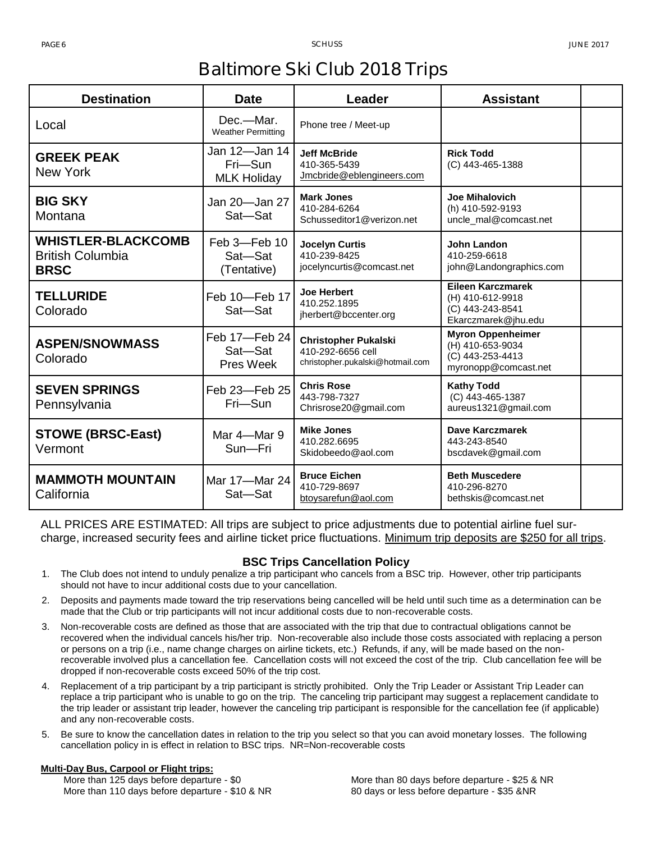### **Baltimore Ski Club 2018 Trips**

| <b>Destination</b>                                                  | <b>Date</b>                                    | Leader                                                                               | <b>Assistant</b>                                                                         |  |
|---------------------------------------------------------------------|------------------------------------------------|--------------------------------------------------------------------------------------|------------------------------------------------------------------------------------------|--|
| Local                                                               | Dec.-Mar.<br><b>Weather Permitting</b>         | Phone tree / Meet-up                                                                 |                                                                                          |  |
| <b>GREEK PEAK</b><br>New York                                       | Jan 12-Jan 14<br>Fri-Sun<br><b>MLK Holiday</b> | <b>Jeff McBride</b><br>410-365-5439<br>Jmcbride@eblengineers.com                     | <b>Rick Todd</b><br>$(C)$ 443-465-1388                                                   |  |
| <b>BIG SKY</b><br>Montana                                           | Jan 20-Jan 27<br>Sat-Sat                       | <b>Mark Jones</b><br>410-284-6264<br>Schusseditor1@verizon.net                       | Joe Mihalovich<br>(h) 410-592-9193<br>uncle_mal@comcast.net                              |  |
| <b>WHISTLER-BLACKCOMB</b><br><b>British Columbia</b><br><b>BRSC</b> | Feb 3-Feb 10<br>Sat-Sat<br>(Tentative)         | <b>Jocelyn Curtis</b><br>410-239-8425<br>jocelyncurtis@comcast.net                   | John Landon<br>410-259-6618<br>john@Landongraphics.com                                   |  |
| <b>TELLURIDE</b><br>Colorado                                        | Feb 10-Feb 17<br>Sat-Sat                       | <b>Joe Herbert</b><br>410.252.1895<br>jherbert@bccenter.org                          | Eileen Karczmarek<br>(H) 410-612-9918<br>(C) 443-243-8541<br>Ekarczmarek@jhu.edu         |  |
| <b>ASPEN/SNOWMASS</b><br>Colorado                                   | Feb 17-Feb 24<br>Sat-Sat<br><b>Pres Week</b>   | <b>Christopher Pukalski</b><br>410-292-6656 cell<br>christopher.pukalski@hotmail.com | <b>Myron Oppenheimer</b><br>(H) 410-653-9034<br>(C) 443-253-4413<br>myronopp@comcast.net |  |
| <b>SEVEN SPRINGS</b><br>Pennsylvania                                | Feb 23-Feb 25<br>Fri-Sun                       | <b>Chris Rose</b><br>443-798-7327<br>Chrisrose20@gmail.com                           | <b>Kathy Todd</b><br>(C) 443-465-1387<br>aureus1321@gmail.com                            |  |
| <b>STOWE (BRSC-East)</b><br>Vermont                                 | Mar 4-Mar 9<br>Sun-Fri                         | <b>Mike Jones</b><br>410.282.6695<br>Skidobeedo@aol.com                              | Dave Karczmarek<br>443-243-8540<br>bscdavek@gmail.com                                    |  |
| <b>MAMMOTH MOUNTAIN</b><br>California                               | Mar 17-Mar 24<br>Sat-Sat                       | <b>Bruce Eichen</b><br>410-729-8697<br>btoysarefun@aol.com                           | <b>Beth Muscedere</b><br>410-296-8270<br>bethskis@comcast.net                            |  |

ALL PRICES ARE ESTIMATED: All trips are subject to price adjustments due to potential airline fuel surcharge, increased security fees and airline ticket price fluctuations. Minimum trip deposits are \$250 for all trips.

#### **BSC Trips Cancellation Policy**

- 1. The Club does not intend to unduly penalize a trip participant who cancels from a BSC trip. However, other trip participants should not have to incur additional costs due to your cancellation.
- 2. Deposits and payments made toward the trip reservations being cancelled will be held until such time as a determination can be made that the Club or trip participants will not incur additional costs due to non-recoverable costs.
- 3. Non-recoverable costs are defined as those that are associated with the trip that due to contractual obligations cannot be recovered when the individual cancels his/her trip. Non-recoverable also include those costs associated with replacing a person or persons on a trip (i.e., name change charges on airline tickets, etc.) Refunds, if any, will be made based on the nonrecoverable involved plus a cancellation fee. Cancellation costs will not exceed the cost of the trip. Club cancellation fee will be dropped if non-recoverable costs exceed 50% of the trip cost.
- 4. Replacement of a trip participant by a trip participant is strictly prohibited. Only the Trip Leader or Assistant Trip Leader can replace a trip participant who is unable to go on the trip. The canceling trip participant may suggest a replacement candidate to the trip leader or assistant trip leader, however the canceling trip participant is responsible for the cancellation fee (if applicable) and any non-recoverable costs.
- 5. Be sure to know the cancellation dates in relation to the trip you select so that you can avoid monetary losses. The following cancellation policy in is effect in relation to BSC trips. NR=Non-recoverable costs

#### **Multi-Day Bus, Carpool or Flight trips:**

More than 125 days before departure - \$0 More than 110 days before departure - \$10 & NR More than 80 days before departure - \$25 & NR 80 days or less before departure - \$35 &NR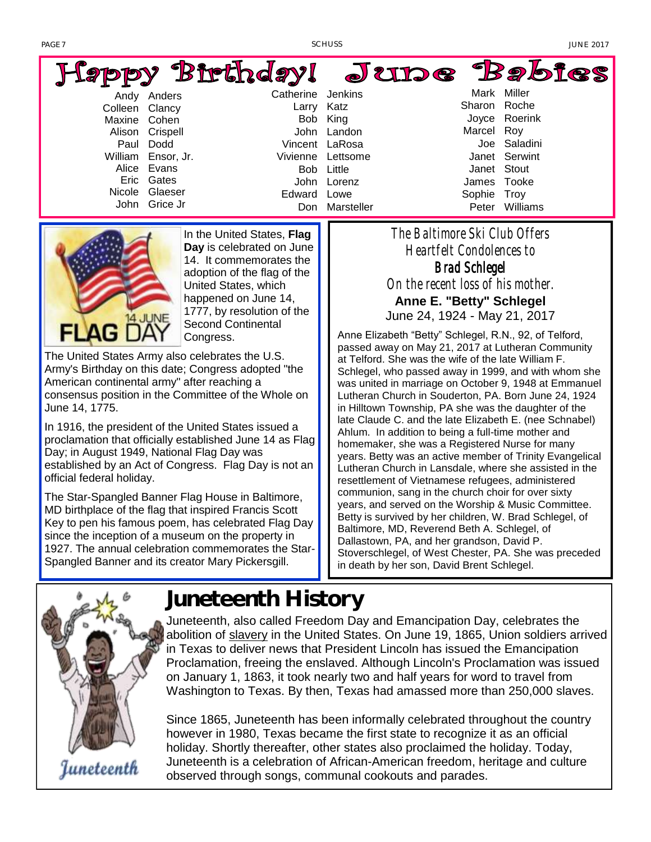#### Lappy Birthday! **June Babies** Mark Miller Andy Anders Catherine Jenkins Sharon Roche Larry Katz Colleen Clancy Joyce Roerink Maxine Cohen Bob King Marcel Roy Alison Crispell John Landon Vincent LaRosa Joe Saladini Paul Dodd William Ensor, Jr. Vivienne Lettsome Janet Serwint Alice Evans Bob Little Janet Stout

John Lorenz Edward Lowe

Don Marsteller



Eric Gates Nicole Glaeser John Grice Jr

> In the [United States,](https://en.wikipedia.org/wiki/United_States) **Flag Day** is celebrated on June 14. It commemorates the adoption of the [flag of the](https://en.wikipedia.org/wiki/Flag_of_the_United_States)  [United States,](https://en.wikipedia.org/wiki/Flag_of_the_United_States) which happened on June 14, 1777, by [resolution](https://en.wikipedia.org/wiki/Flag_Acts_(United_States)) of the [Second Continental](https://en.wikipedia.org/wiki/Continental_Congress)  [Congress.](https://en.wikipedia.org/wiki/Continental_Congress)

The [United States Army](https://en.wikipedia.org/wiki/United_States_Army) also celebrates the [U.S.](https://en.wikipedia.org/wiki/U.S._Army_Birthdays)  [Army's Birthday](https://en.wikipedia.org/wiki/U.S._Army_Birthdays) on this date; Congress adopted "the American continental army" after reaching a consensus position in the Committee of the Whole on June 14, 1775.

In 1916, the president of the United States issued a proclamation that officially established June 14 as Flag Day; in August 1949, National Flag Day was established by an [Act of Congress.](https://en.wikipedia.org/wiki/Act_of_Congress) Flag Day is not an official [federal holiday.](https://en.wikipedia.org/wiki/Federal_holidays_in_the_United_States)

The Star-Spangled Banner Flag House in Baltimore, MD birthplace of the flag that inspired Francis Scott Key to pen his famous poem, has celebrated Flag Day since the inception of a museum on the property in 1927. The annual celebration commemorates the Star-Spangled Banner and its creator Mary Pickersgill.

*The Baltimore Ski Club Offers Heartfelt Condolences to Brad Schlegel On the recent loss of his mother.*

James Tooke Sophie Troy Peter Williams

**Anne E. "Betty" Schlegel** June 24, 1924 - May 21, 2017

Anne Elizabeth "Betty" Schlegel, R.N., 92, of Telford, passed away on May 21, 2017 at Lutheran Community at Telford. She was the wife of the late William F. Schlegel, who passed away in 1999, and with whom she was united in marriage on October 9, 1948 at Emmanuel Lutheran Church in Souderton, PA. Born June 24, 1924 in Hilltown Township, PA she was the daughter of the late Claude C. and the late Elizabeth E. (nee Schnabel) Ahlum. In addition to being a full-time mother and homemaker, she was a Registered Nurse for many years. Betty was an active member of Trinity Evangelical Lutheran Church in Lansdale, where she assisted in the resettlement of Vietnamese refugees, administered communion, sang in the church choir for over sixty years, and served on the Worship & Music Committee. Betty is survived by her children, W. Brad Schlegel, of Baltimore, MD, Reverend Beth A. Schlegel, of Dallastown, PA, and her grandson, David P. Stoverschlegel, of West Chester, PA. She was preceded in death by her son, David Brent Schlegel.

Juneteenth

# **Juneteenth History**

Juneteenth, also called Freedom Day and Emancipation Day, celebrates the abolition of [slavery](http://www.wincalendar.com/International-Day-Abolition-Slavery) in the United States. On June 19, 1865, Union soldiers arrived in Texas to deliver news that President Lincoln has issued the Emancipation Proclamation, freeing the enslaved. Although Lincoln's Proclamation was issued on January 1, 1863, it took nearly two and half years for word to travel from Washington to Texas. By then, Texas had amassed more than 250,000 slaves.

Since 1865, Juneteenth has been informally celebrated throughout the country however in 1980, Texas became the first state to recognize it as an official holiday. Shortly thereafter, other states also proclaimed the holiday. Today, Juneteenth is a celebration of African-American freedom, heritage and culture observed through songs, communal cookouts and parades.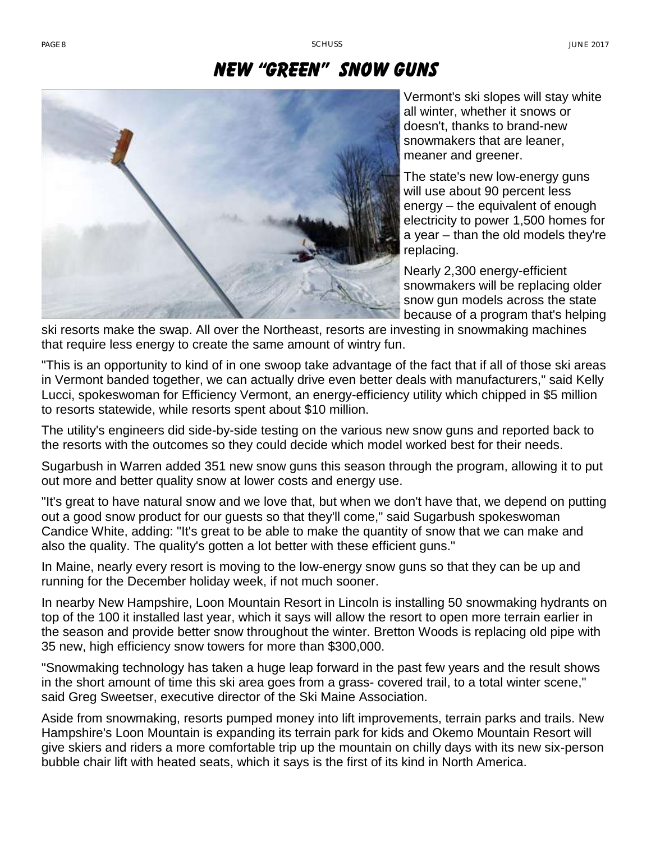### New "GREEN" Snow Guns



Vermont's ski slopes will stay white all winter, whether it snows or doesn't, thanks to brand-new snowmakers that are leaner, meaner and greener.

The state's new low-energy guns will use about 90 percent less energy – the equivalent of enough electricity to power 1,500 homes for a year – than the old models they're replacing.

Nearly 2,300 energy-efficient snowmakers will be replacing older snow gun models across the state because of a program that's helping

ski resorts make the swap. All over the Northeast, resorts are investing in snowmaking machines that require less energy to create the same amount of wintry fun.

"This is an opportunity to kind of in one swoop take advantage of the fact that if all of those ski areas in Vermont banded together, we can actually drive even better deals with manufacturers," said Kelly Lucci, spokeswoman for Efficiency Vermont, an energy-efficiency utility which chipped in \$5 million to resorts statewide, while resorts spent about \$10 million.

The utility's engineers did side-by-side testing on the various new snow guns and reported back to the resorts with the outcomes so they could decide which model worked best for their needs.

Sugarbush in Warren added 351 new snow guns this season through the program, allowing it to put out more and better quality snow at lower costs and energy use.

"It's great to have natural snow and we love that, but when we don't have that, we depend on putting out a good snow product for our guests so that they'll come," said Sugarbush spokeswoman Candice White, adding: "It's great to be able to make the quantity of snow that we can make and also the quality. The quality's gotten a lot better with these efficient guns."

In Maine, nearly every resort is moving to the low-energy snow guns so that they can be up and running for the December holiday week, if not much sooner.

In nearby New Hampshire, Loon Mountain Resort in Lincoln is installing 50 snowmaking hydrants on top of the 100 it installed last year, which it says will allow the resort to open more terrain earlier in the season and provide better snow throughout the winter. Bretton Woods is replacing old pipe with 35 new, high efficiency snow towers for more than \$300,000.

"Snowmaking technology has taken a huge leap forward in the past few years and the result shows in the short amount of time this ski area goes from a grass- covered trail, to a total winter scene," said Greg Sweetser, executive director of the Ski Maine Association.

Aside from snowmaking, resorts pumped money into lift improvements, terrain parks and trails. New Hampshire's Loon Mountain is expanding its terrain park for kids and Okemo Mountain Resort will give skiers and riders a more comfortable trip up the mountain on chilly days with its new six-person bubble chair lift with heated seats, which it says is the first of its kind in North America.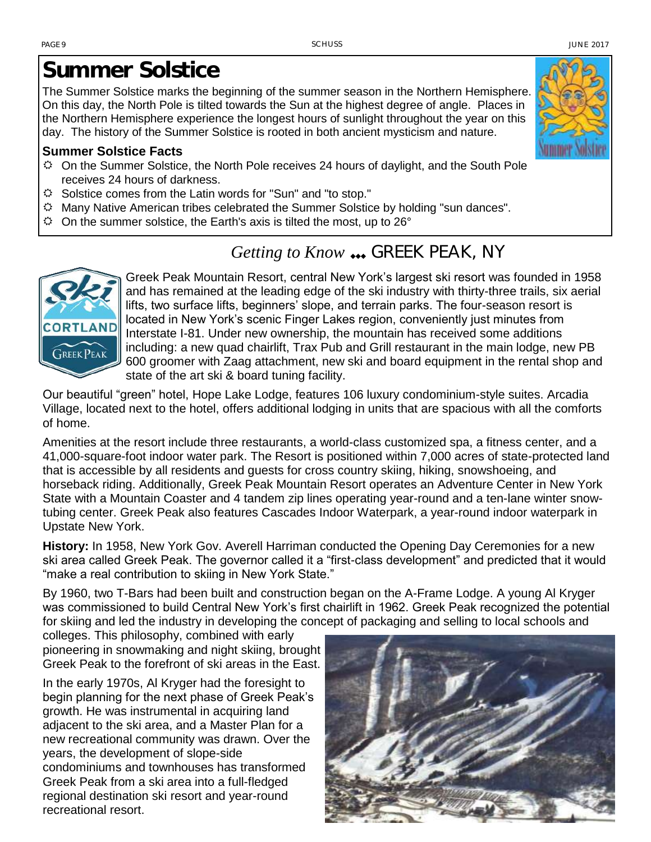# **Summer Solstice**

The Summer Solstice marks the beginning of the summer season in the Northern Hemisphere. On this day, the North Pole is tilted towards the Sun at the highest degree of angle. Places in the Northern Hemisphere experience the longest hours of sunlight throughout the year on this day. The history of the Summer Solstice is rooted in both ancient mysticism and nature.

### **Summer Solstice Facts**

- $\ddot{\varphi}$  On the Summer Solstice, the North Pole receives 24 hours of daylight, and the South Pole receives 24 hours of darkness.
- $\ddot{\varphi}$  Solstice comes from the Latin words for "Sun" and "to stop."
- $\ddot{\varphi}$  Many Native American tribes celebrated the Summer Solstice by holding "sun dances".
- $\ddot{\phi}$  On the summer solstice, the Earth's axis is tilted the most, up to 26°

### *Getting to Know* … GREEK PEAK, NY

**TREEK PEAK** 

Greek Peak Mountain Resort, [central New York's largest ski resort](http://greekpeak.net/) was founded in 1958 and has remained at the leading edge of the ski industry with thirty-three trails, six aerial lifts, two surface lifts, beginners' slope, and terrain parks. The four-season resort is located in New York's scenic Finger Lakes region, conveniently just minutes from Interstate I-81. Under new ownership, the mountain has received some additions including: a new quad chairlift, Trax Pub and Grill restaurant in the main lodge, new PB 600 groomer with Zaag attachment, new ski and board equipment in the rental shop and state of the art ski & board tuning facility.

Our beautiful "green" hotel, [Hope Lake Lodge,](http://hopelakelodge.com/) features 106 luxury condominium-style suites. Arcadia Village, located next to the hotel, offers additional lodging in units that are spacious with all the comforts of home.

Amenities at the resort include three restaurants, a world-class customized spa, a fitness center, and a 41,000-square-foot indoor water park. The Resort is positioned within 7,000 acres of state-protected land that is accessible by all residents and guests for cross country skiing, hiking, snowshoeing, and horseback riding. Additionally, Greek Peak Mountain Resort operates an [Adventure Center in New York](http://theoutdooradventurecenter.com/)  [State](http://theoutdooradventurecenter.com/) with a Mountain Coaster and 4 tandem zip lines operating year-round and a ten-lane winter snowtubing center. Greek Peak also features [Cascades Indoor Waterpark,](http://cascadesindoorwaterpark.com/) a year-round [indoor waterpark in](http://cascadesindoorwaterpark.com/)  [Upstate New York.](http://cascadesindoorwaterpark.com/)

**History:** In 1958, New York Gov. Averell Harriman conducted the Opening Day Ceremonies for a new ski area called Greek Peak. The governor called it a "first-class development" and predicted that it would "make a real contribution to skiing in New York State."

By 1960, two T-Bars had been built and construction began on the A-Frame Lodge. A young Al Kryger was commissioned to build Central New York's first chairlift in 1962. Greek Peak recognized the potential for skiing and led the industry in developing the concept of packaging and selling to local schools and

colleges. This philosophy, combined with early pioneering in snowmaking and night skiing, brought Greek Peak to the forefront of ski areas in the East.

In the early 1970s, Al Kryger had the foresight to begin planning for the next phase of Greek Peak's growth. He was instrumental in acquiring land adjacent to the ski area, and a Master Plan for a new recreational community was drawn. Over the years, the development of slope-side condominiums and townhouses has transformed Greek Peak from a ski area into a full-fledged regional destination ski resort and year-round recreational resort.



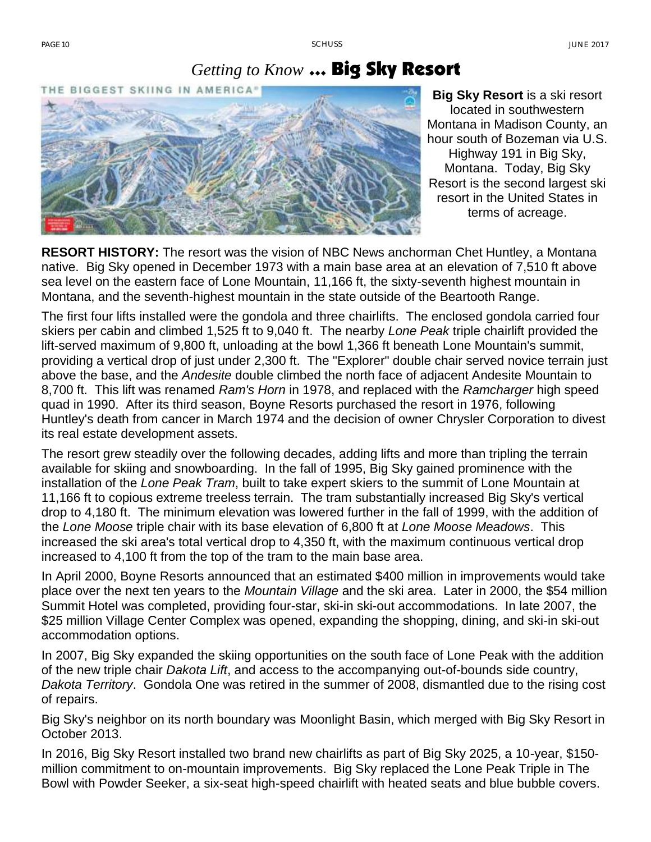### *Getting to Know* … Big Sky Resort



**Big Sky Resort** is a [ski resort](https://en.wikipedia.org/wiki/Ski_resort) located in southwestern [Montana](https://en.wikipedia.org/wiki/Montana) in [Madison County,](https://en.wikipedia.org/wiki/Madison_County,_Montana) an hour south of [Bozeman](https://en.wikipedia.org/wiki/Bozeman,_Montana) via [U.S.](https://en.wikipedia.org/wiki/U.S._Route_191)  [Highway 191](https://en.wikipedia.org/wiki/U.S._Route_191) in [Big Sky,](https://en.wikipedia.org/wiki/Big_Sky,_Montana)  [Montana.](https://en.wikipedia.org/wiki/Big_Sky,_Montana) Today, Big Sky Resort is the second largest ski resort in the United States in terms of acreage.

**RESORT HISTORY:** The resort was the vision of [NBC News](https://en.wikipedia.org/wiki/NBC_News) [anchorman](https://en.wikipedia.org/wiki/News_presenter) [Chet Huntley,](https://en.wikipedia.org/wiki/Chet_Huntley) a Montana native. Big Sky opened in December 1973 with a main base area at an [elevation](https://en.wikipedia.org/wiki/Elevation) of 7,510 ft [above](https://en.wikipedia.org/wiki/Sea_level#AMSL)  [sea level](https://en.wikipedia.org/wiki/Sea_level#AMSL) on the eastern face of Lone Mountain, 11,166 ft, the sixty-seventh highest mountain in Montana, and the seventh-highest mountain in the state outside of the Beartooth Range.

The first four lifts installed were the [gondola](https://en.wikipedia.org/wiki/Gondola_lift) and three [chairlifts.](https://en.wikipedia.org/wiki/Chairlift) The enclosed gondola carried four skiers per cabin and climbed 1,525 ft to 9,040 ft. The nearby *Lone Peak* triple chairlift provided the lift-served maximum of 9,800 ft, unloading at the bowl 1,366 ft beneath Lone Mountain's summit, providing a vertical drop of just under 2,300 ft. The "Explorer" double chair served novice terrain just above the base, and the *Andesite* double climbed the north face of adjacent Andesite Mountain to 8,700 ft. This lift was renamed *Ram's Horn* in 1978, and replaced with the *Ramcharger* [high speed](https://en.wikipedia.org/wiki/Detachable_chairlift)  [quad](https://en.wikipedia.org/wiki/Detachable_chairlift) in 1990. After its third season, [Boyne Resorts](https://en.wikipedia.org/wiki/Boyne_Resorts) purchased the resort in 1976, following Huntley's death from [cancer](https://en.wikipedia.org/wiki/Cancer) in March 1974 and the decision of owner [Chrysler Corporation](https://en.wikipedia.org/wiki/Chrysler_Corporation) to divest its [real estate](https://en.wikipedia.org/wiki/Real_estate) development assets.

The resort grew steadily over the following decades, adding lifts and more than tripling the terrain available for skiing and snowboarding. In the fall of 1995, Big Sky gained prominence with the installation of the *Lone Peak Tram*, built to take expert skiers to the summit of Lone Mountain at 11,166 ft to copious extreme treeless terrain. The tram substantially increased Big Sky's vertical drop to 4,180 ft. The minimum elevation was lowered further in the fall of 1999, with the addition of the *Lone Moose* triple chair with its base elevation of 6,800 ft at *Lone Moose Meadows*. This increased the ski area's total vertical drop to 4,350 ft, with the maximum continuous vertical drop increased to 4,100 ft from the top of the tram to the main base area.

In April 2000, [Boyne Resorts](https://en.wikipedia.org/wiki/Boyne_Resorts) announced that an estimated \$400 million in improvements would take place over the next ten years to the *Mountain Village* and the ski area. Later in 2000, the \$54 million Summit Hotel was completed, providing four-star, ski-in ski-out accommodations. In late 2007, the \$25 million Village Center Complex was opened, expanding the shopping, dining, and ski-in ski-out accommodation options.

In 2007, Big Sky expanded the skiing opportunities on the south face of Lone Peak with the addition of the new triple chair *Dakota Lift*, and access to the accompanying out-of-bounds side country, *Dakota Territory*. Gondola One was retired in the summer of 2008, dismantled due to the rising cost of repairs.

Big Sky's neighbor on its north boundary was [Moonlight Basin,](https://en.wikipedia.org/wiki/Moonlight_Basin) which merged with Big Sky Resort in October 2013.

In 2016, Big Sky Resort installed two brand new chairlifts as part of Big Sky 2025, a 10-year, \$150 million commitment to on-mountain improvements. Big Sky replaced the Lone Peak Triple in The Bowl with Powder Seeker, a six-seat high-speed chairlift with heated seats and blue bubble covers.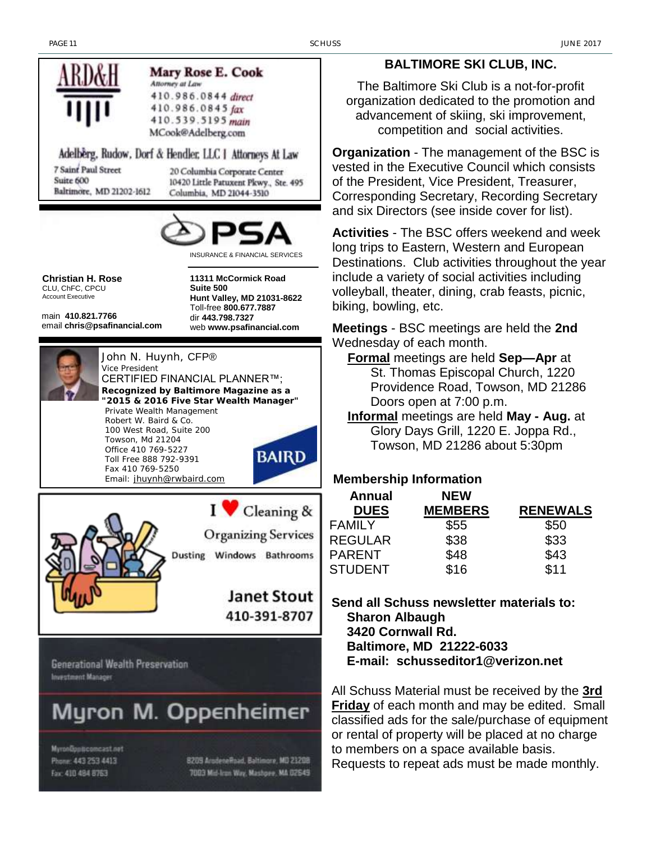

**MyronDpptpcomcast.net** Phone: 443 253 4413 Fax: 410 484 8763

8209 AradeneRoad, Baltimore, MD 21208 7003 Mid-Iran Way, Mashpee, MA 02649

#### **BALTIMORE SKI CLUB, INC.**

The Baltimore Ski Club is a not-for-profit organization dedicated to the promotion and advancement of skiing, ski improvement, competition and social activities.

**Organization** - The management of the BSC is vested in the Executive Council which consists of the President, Vice President, Treasurer, Corresponding Secretary, Recording Secretary and six Directors (see inside cover for list).

**Activities** - The BSC offers weekend and week long trips to Eastern, Western and European Destinations. Club activities throughout the year include a variety of social activities including volleyball, theater, dining, crab feasts, picnic, biking, bowling, etc.

**Meetings** - BSC meetings are held the **2nd** Wednesday of each month.

**Formal** meetings are held **Sep—Apr** at St. Thomas Episcopal Church, 1220 Providence Road, Towson, MD 21286 Doors open at 7:00 p.m.

**Informal** meetings are held **May - Aug.** at Glory Days Grill, 1220 E. Joppa Rd., Towson, MD 21286 about 5:30pm

#### **Membership Information**

| <b>Annual</b><br><b>DUES</b> | NEW<br><b>MEMBERS</b> | <b>RENEWALS</b> |
|------------------------------|-----------------------|-----------------|
| <b>FAMILY</b>                | \$55                  | \$50            |
| <b>REGULAR</b>               | \$38                  | \$33            |
| <b>PARENT</b>                | \$48                  | \$43            |
| <b>STUDENT</b>               | \$16                  | \$11            |

**Send all Schuss newsletter materials to: Sharon Albaugh 3420 Cornwall Rd. Baltimore, MD 21222-6033 E-mail: schusseditor1@verizon.net**

All Schuss Material must be received by the **3rd Friday** of each month and may be edited. Small classified ads for the sale/purchase of equipment or rental of property will be placed at no charge to members on a space available basis. Requests to repeat ads must be made monthly.